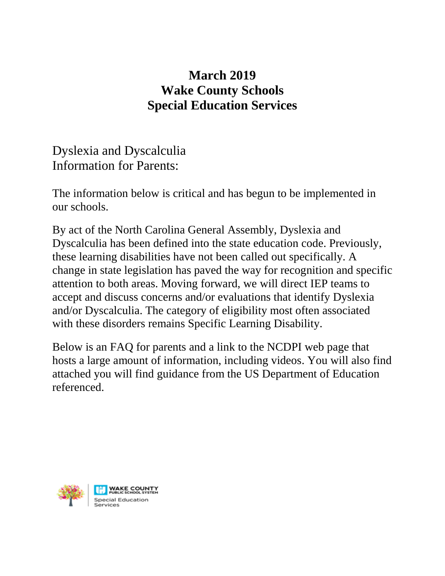## **March 2019 Wake County Schools Special Education Services**

Dyslexia and Dyscalculia Information for Parents:

The information below is critical and has begun to be implemented in our schools.

By act of the North Carolina General Assembly, Dyslexia and Dyscalculia has been defined into the state education code. Previously, these learning disabilities have not been called out specifically. A change in state legislation has paved the way for recognition and specific attention to both areas. Moving forward, we will direct IEP teams to accept and discuss concerns and/or evaluations that identify Dyslexia and/or Dyscalculia. The category of eligibility most often associated with these disorders remains Specific Learning Disability.

Below is an FAQ for parents and a link to the NCDPI web page that hosts a large amount of information, including videos. You will also find attached you will find guidance from the US Department of Education referenced.

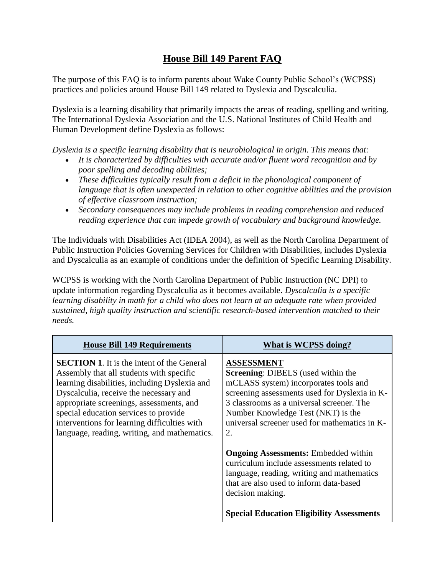## **House Bill 149 Parent FAQ**

The purpose of this FAQ is to inform parents about Wake County Public School's (WCPSS) practices and policies around House Bill 149 related to Dyslexia and Dyscalculia.

Dyslexia is a learning disability that primarily impacts the areas of reading, spelling and writing. The International Dyslexia Association and the U.S. National Institutes of Child Health and Human Development define Dyslexia as follows:

*Dyslexia is a specific learning disability that is neurobiological in origin. This means that:* 

- *It is characterized by difficulties with accurate and/or fluent word recognition and by poor spelling and decoding abilities;*
- *These difficulties typically result from a deficit in the phonological component of language that is often unexpected in relation to other cognitive abilities and the provision of effective classroom instruction;*
- *Secondary consequences may include problems in reading comprehension and reduced reading experience that can impede growth of vocabulary and background knowledge.*

The Individuals with Disabilities Act (IDEA 2004), as well as the North Carolina Department of Public Instruction Policies Governing Services for Children with Disabilities, includes Dyslexia and Dyscalculia as an example of conditions under the definition of Specific Learning Disability.

WCPSS is working with the North Carolina Department of Public Instruction (NC DPI) to update information regarding Dyscalculia as it becomes available. *Dyscalculia is a specific learning disability in math for a child who does not learn at an adequate rate when provided sustained, high quality instruction and scientific research-based intervention matched to their needs.*

| <b>House Bill 149 Requirements</b>                                                                                                                                                                                                                                                                                                                                            | What is WCPSS doing?                                                                                                                                                                                                                                                                               |
|-------------------------------------------------------------------------------------------------------------------------------------------------------------------------------------------------------------------------------------------------------------------------------------------------------------------------------------------------------------------------------|----------------------------------------------------------------------------------------------------------------------------------------------------------------------------------------------------------------------------------------------------------------------------------------------------|
| <b>SECTION 1.</b> It is the intent of the General<br>Assembly that all students with specific<br>learning disabilities, including Dyslexia and<br>Dyscalculia, receive the necessary and<br>appropriate screenings, assessments, and<br>special education services to provide<br>interventions for learning difficulties with<br>language, reading, writing, and mathematics. | <b>ASSESSMENT</b><br><b>Screening: DIBELS</b> (used within the<br>mCLASS system) incorporates tools and<br>screening assessments used for Dyslexia in K-<br>3 classrooms as a universal screener. The<br>Number Knowledge Test (NKT) is the<br>universal screener used for mathematics in K-<br>2. |
|                                                                                                                                                                                                                                                                                                                                                                               | <b>Ongoing Assessments:</b> Embedded within<br>curriculum include assessments related to<br>language, reading, writing and mathematics<br>that are also used to inform data-based<br>decision making. -<br><b>Special Education Eligibility Assessments</b>                                        |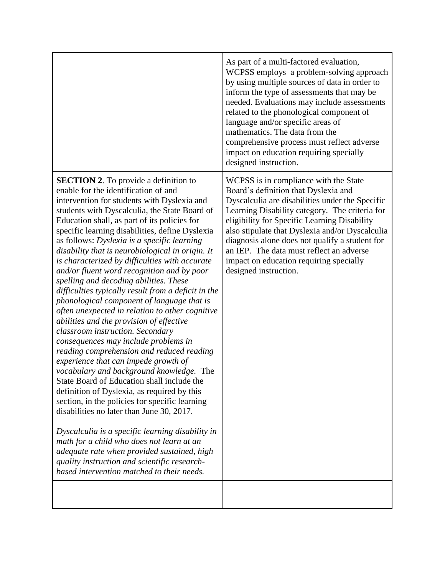|                                                                                                                                                                                                                                                                                                                                                                                                                                                                                                                                                                                                                                                                                                                                                                                                                                                                                                                                                                                                                                                                                                                                                                                                                                                                                                                                                                                                 | As part of a multi-factored evaluation,<br>WCPSS employs a problem-solving approach<br>by using multiple sources of data in order to<br>inform the type of assessments that may be<br>needed. Evaluations may include assessments<br>related to the phonological component of<br>language and/or specific areas of<br>mathematics. The data from the<br>comprehensive process must reflect adverse<br>impact on education requiring specially<br>designed instruction. |
|-------------------------------------------------------------------------------------------------------------------------------------------------------------------------------------------------------------------------------------------------------------------------------------------------------------------------------------------------------------------------------------------------------------------------------------------------------------------------------------------------------------------------------------------------------------------------------------------------------------------------------------------------------------------------------------------------------------------------------------------------------------------------------------------------------------------------------------------------------------------------------------------------------------------------------------------------------------------------------------------------------------------------------------------------------------------------------------------------------------------------------------------------------------------------------------------------------------------------------------------------------------------------------------------------------------------------------------------------------------------------------------------------|------------------------------------------------------------------------------------------------------------------------------------------------------------------------------------------------------------------------------------------------------------------------------------------------------------------------------------------------------------------------------------------------------------------------------------------------------------------------|
| <b>SECTION 2.</b> To provide a definition to<br>enable for the identification of and<br>intervention for students with Dyslexia and<br>students with Dyscalculia, the State Board of<br>Education shall, as part of its policies for<br>specific learning disabilities, define Dyslexia<br>as follows: Dyslexia is a specific learning<br>disability that is neurobiological in origin. It<br>is characterized by difficulties with accurate<br>and/or fluent word recognition and by poor<br>spelling and decoding abilities. These<br>difficulties typically result from a deficit in the<br>phonological component of language that is<br>often unexpected in relation to other cognitive<br>abilities and the provision of effective<br>classroom instruction. Secondary<br>consequences may include problems in<br>reading comprehension and reduced reading<br>experience that can impede growth of<br>vocabulary and background knowledge. The<br>State Board of Education shall include the<br>definition of Dyslexia, as required by this<br>section, in the policies for specific learning<br>disabilities no later than June 30, 2017.<br>Dyscalculia is a specific learning disability in<br>math for a child who does not learn at an<br>adequate rate when provided sustained, high<br>quality instruction and scientific research-<br>based intervention matched to their needs. | WCPSS is in compliance with the State<br>Board's definition that Dyslexia and<br>Dyscalculia are disabilities under the Specific<br>Learning Disability category. The criteria for<br>eligibility for Specific Learning Disability<br>also stipulate that Dyslexia and/or Dyscalculia<br>diagnosis alone does not qualify a student for<br>an IEP. The data must reflect an adverse<br>impact on education requiring specially<br>designed instruction.                |
|                                                                                                                                                                                                                                                                                                                                                                                                                                                                                                                                                                                                                                                                                                                                                                                                                                                                                                                                                                                                                                                                                                                                                                                                                                                                                                                                                                                                 |                                                                                                                                                                                                                                                                                                                                                                                                                                                                        |